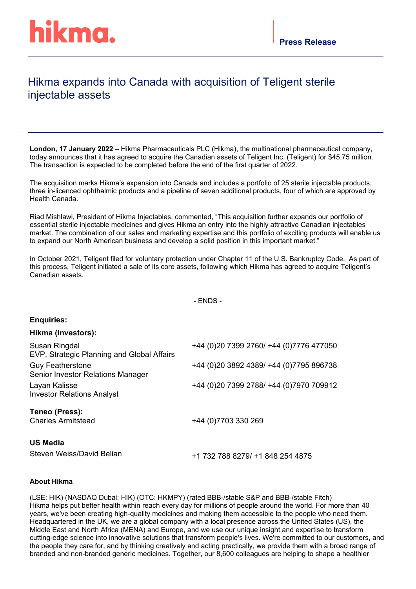## Hikma expands into Canada with acquisition of Teligent sterile injectable assets

**London, 17 January 2022** – Hikma Pharmaceuticals PLC (Hikma), the multinational pharmaceutical company, today announces that it has agreed to acquire the Canadian assets of Teligent Inc. (Teligent) for \$45.75 million. The transaction is expected to be completed before the end of the first quarter of 2022.

The acquisition marks Hikma's expansion into Canada and includes a portfolio of 25 sterile injectable products, three in-licenced ophthalmic products and a pipeline of seven additional products, four of which are approved by Health Canada.

Riad Mishlawi, President of Hikma Injectables, commented, "This acquisition further expands our portfolio of essential sterile injectable medicines and gives Hikma an entry into the highly attractive Canadian injectables market. The combination of our sales and marketing expertise and this portfolio of exciting products will enable us to expand our North American business and develop a solid position in this important market."

In October 2021, Teligent filed for voluntary protection under Chapter 11 of the U.S. Bankruptcy Code. As part of this process, Teligent initiated a sale of its core assets, following which Hikma has agreed to acquire Teligent's Canadian assets.

- ENDS -

## **Enquiries:**

## **Hikma (Investors):**

| Susan Ringdal<br>EVP, Strategic Planning and Global Affairs  | +44 (0) 20 7399 2760/ +44 (0) 7776 477050 |
|--------------------------------------------------------------|-------------------------------------------|
| <b>Guy Featherstone</b><br>Senior Investor Relations Manager | +44 (0)20 3892 4389/ +44 (0)7795 896738   |
| Layan Kalisse<br><b>Investor Relations Analyst</b>           | +44 (0)20 7399 2788/ +44 (0)7970 709912   |
| Teneo (Press):<br><b>Charles Armitstead</b>                  | +44 (0) 7703 330 269                      |
| <b>US Media</b><br>Steven Weiss/David Belian                 | +1 732 788 8279/ +1 848 254 4875          |

## **About Hikma**

(LSE: HIK) (NASDAQ Dubai: HIK) (OTC: HKMPY) (rated BBB-/stable S&P and BBB-/stable Fitch) Hikma helps put better health within reach every day for millions of people around the world. For more than 40 years, we've been creating high-quality medicines and making them accessible to the people who need them. Headquartered in the UK, we are a global company with a local presence across the United States (US), the Middle East and North Africa (MENA) and Europe, and we use our unique insight and expertise to transform cutting-edge science into innovative solutions that transform people's lives. We're committed to our customers, and the people they care for, and by thinking creatively and acting practically, we provide them with a broad range of branded and non-branded generic medicines. Together, our 8,600 colleagues are helping to shape a healthier